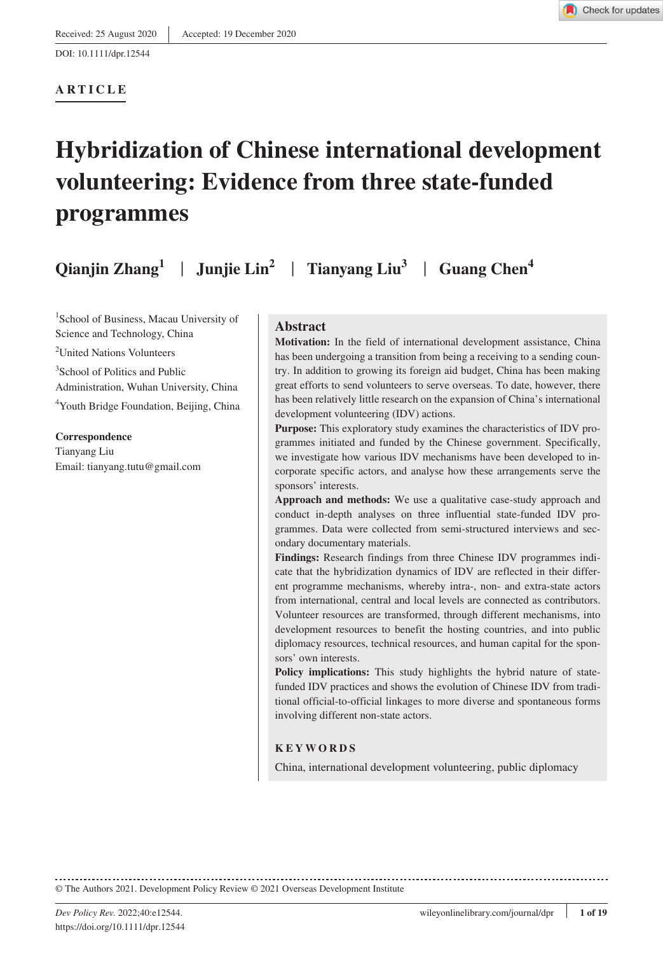#### **ARTICLE**

# **Hybridization of Chinese international development volunteering: Evidence from three state-funded programmes**

**Qianjin Zhang1** | **Junjie Lin2** | **Tianyang Liu3** | **Guang Chen4**

1 School of Business, Macau University of Science and Technology, China <sup>2</sup>United Nations Volunteers 3 School of Politics and Public Administration, Wuhan University, China 4 Youth Bridge Foundation, Beijing, China

**Correspondence** Tianyang Liu

Email: [tianyang.tutu@gmail.com](mailto:tianyang.tutu@gmail.com)

**Abstract**

**Motivation:** In the field of international development assistance, China has been undergoing a transition from being a receiving to a sending country. In addition to growing its foreign aid budget, China has been making great efforts to send volunteers to serve overseas. To date, however, there has been relatively little research on the expansion of China's international development volunteering (IDV) actions.

**Purpose:** This exploratory study examines the characteristics of IDV programmes initiated and funded by the Chinese government. Specifically, we investigate how various IDV mechanisms have been developed to incorporate specific actors, and analyse how these arrangements serve the sponsors' interests.

**Approach and methods:** We use a qualitative case-study approach and conduct in-depth analyses on three influential state-funded IDV programmes. Data were collected from semi-structured interviews and secondary documentary materials.

**Findings:** Research findings from three Chinese IDV programmes indicate that the hybridization dynamics of IDV are reflected in their different programme mechanisms, whereby intra-, non- and extra-state actors from international, central and local levels are connected as contributors. Volunteer resources are transformed, through different mechanisms, into development resources to benefit the hosting countries, and into public diplomacy resources, technical resources, and human capital for the sponsors' own interests.

**Policy implications:** This study highlights the hybrid nature of statefunded IDV practices and shows the evolution of Chinese IDV from traditional official-to-official linkages to more diverse and spontaneous forms involving different non-state actors.

#### **KEYWORDS**

China, international development volunteering, public diplomacy

© The Authors 2021. Development Policy Review © 2021 Overseas Development Institute

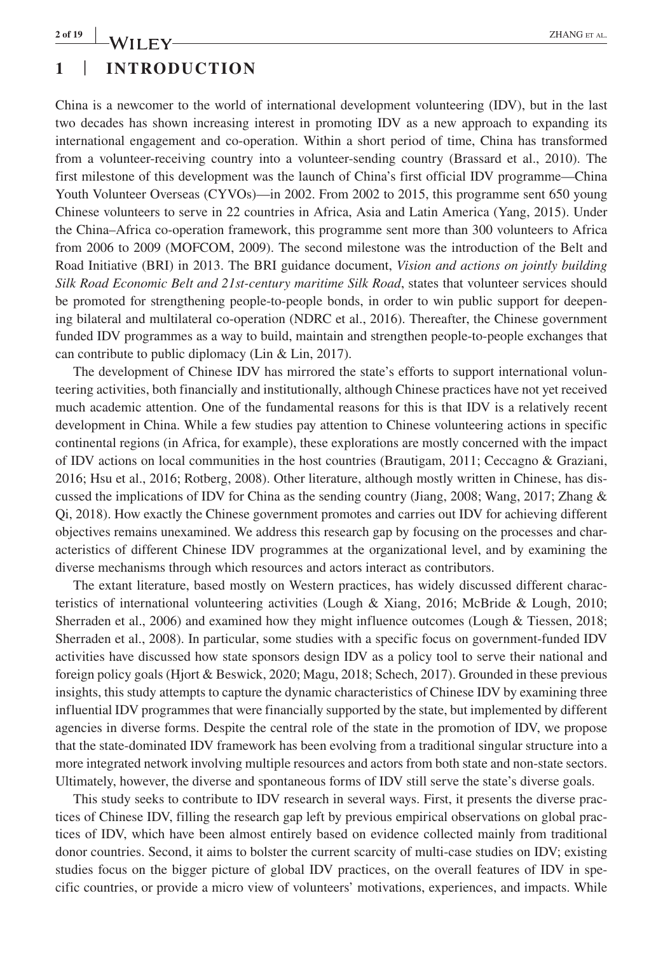# **1** | **INTRODUCTION**

China is a newcomer to the world of international development volunteering (IDV), but in the last two decades has shown increasing interest in promoting IDV as a new approach to expanding its international engagement and co-operation. Within a short period of time, China has transformed from a volunteer-receiving country into a volunteer-sending country (Brassard et al., 2010). The first milestone of this development was the launch of China's first official IDV programme—China Youth Volunteer Overseas (CYVOs)—in 2002. From 2002 to 2015, this programme sent 650 young Chinese volunteers to serve in 22 countries in Africa, Asia and Latin America (Yang, 2015). Under the China–Africa co-operation framework, this programme sent more than 300 volunteers to Africa from 2006 to 2009 (MOFCOM, 2009). The second milestone was the introduction of the Belt and Road Initiative (BRI) in 2013. The BRI guidance document, *Vision and actions on jointly building Silk Road Economic Belt and 21st-century maritime Silk Road*, states that volunteer services should be promoted for strengthening people-to-people bonds, in order to win public support for deepening bilateral and multilateral co-operation (NDRC et al., 2016). Thereafter, the Chinese government funded IDV programmes as a way to build, maintain and strengthen people-to-people exchanges that can contribute to public diplomacy (Lin & Lin, 2017).

The development of Chinese IDV has mirrored the state's efforts to support international volunteering activities, both financially and institutionally, although Chinese practices have not yet received much academic attention. One of the fundamental reasons for this is that IDV is a relatively recent development in China. While a few studies pay attention to Chinese volunteering actions in specific continental regions (in Africa, for example), these explorations are mostly concerned with the impact of IDV actions on local communities in the host countries (Brautigam, 2011; Ceccagno & Graziani, 2016; Hsu et al., 2016; Rotberg, 2008). Other literature, although mostly written in Chinese, has discussed the implications of IDV for China as the sending country (Jiang, 2008; Wang, 2017; Zhang & Qi, 2018). How exactly the Chinese government promotes and carries out IDV for achieving different objectives remains unexamined. We address this research gap by focusing on the processes and characteristics of different Chinese IDV programmes at the organizational level, and by examining the diverse mechanisms through which resources and actors interact as contributors.

The extant literature, based mostly on Western practices, has widely discussed different characteristics of international volunteering activities (Lough & Xiang, 2016; McBride & Lough, 2010; Sherraden et al., 2006) and examined how they might influence outcomes (Lough & Tiessen, 2018; Sherraden et al., 2008). In particular, some studies with a specific focus on government-funded IDV activities have discussed how state sponsors design IDV as a policy tool to serve their national and foreign policy goals (Hjort & Beswick, 2020; Magu, 2018; Schech, 2017). Grounded in these previous insights, this study attempts to capture the dynamic characteristics of Chinese IDV by examining three influential IDV programmes that were financially supported by the state, but implemented by different agencies in diverse forms. Despite the central role of the state in the promotion of IDV, we propose that the state-dominated IDV framework has been evolving from a traditional singular structure into a more integrated network involving multiple resources and actors from both state and non-state sectors. Ultimately, however, the diverse and spontaneous forms of IDV still serve the state's diverse goals.

This study seeks to contribute to IDV research in several ways. First, it presents the diverse practices of Chinese IDV, filling the research gap left by previous empirical observations on global practices of IDV, which have been almost entirely based on evidence collected mainly from traditional donor countries. Second, it aims to bolster the current scarcity of multi-case studies on IDV; existing studies focus on the bigger picture of global IDV practices, on the overall features of IDV in specific countries, or provide a micro view of volunteers' motivations, experiences, and impacts. While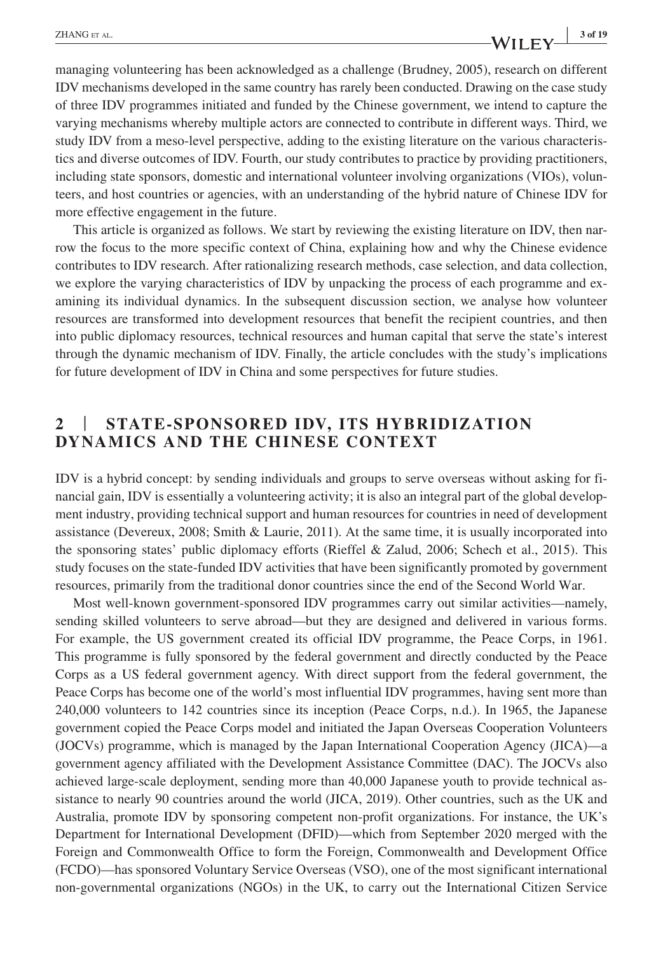#### **|** ZHANG et al. **3 of 19**

managing volunteering has been acknowledged as a challenge (Brudney, 2005), research on different IDV mechanisms developed in the same country has rarely been conducted. Drawing on the case study of three IDV programmes initiated and funded by the Chinese government, we intend to capture the varying mechanisms whereby multiple actors are connected to contribute in different ways. Third, we study IDV from a meso-level perspective, adding to the existing literature on the various characteristics and diverse outcomes of IDV. Fourth, our study contributes to practice by providing practitioners, including state sponsors, domestic and international volunteer involving organizations (VIOs), volunteers, and host countries or agencies, with an understanding of the hybrid nature of Chinese IDV for more effective engagement in the future.

This article is organized as follows. We start by reviewing the existing literature on IDV, then narrow the focus to the more specific context of China, explaining how and why the Chinese evidence contributes to IDV research. After rationalizing research methods, case selection, and data collection, we explore the varying characteristics of IDV by unpacking the process of each programme and examining its individual dynamics. In the subsequent discussion section, we analyse how volunteer resources are transformed into development resources that benefit the recipient countries, and then into public diplomacy resources, technical resources and human capital that serve the state's interest through the dynamic mechanism of IDV. Finally, the article concludes with the study's implications for future development of IDV in China and some perspectives for future studies.

## **2** | **STATE-SPONSORED IDV, ITS HYBRIDIZATION DYNAMICS AND THE CHINESE CONTEXT**

IDV is a hybrid concept: by sending individuals and groups to serve overseas without asking for financial gain, IDV is essentially a volunteering activity; it is also an integral part of the global development industry, providing technical support and human resources for countries in need of development assistance (Devereux, 2008; Smith & Laurie, 2011). At the same time, it is usually incorporated into the sponsoring states' public diplomacy efforts (Rieffel & Zalud, 2006; Schech et al., 2015). This study focuses on the state-funded IDV activities that have been significantly promoted by government resources, primarily from the traditional donor countries since the end of the Second World War.

Most well-known government-sponsored IDV programmes carry out similar activities—namely, sending skilled volunteers to serve abroad—but they are designed and delivered in various forms. For example, the US government created its official IDV programme, the Peace Corps, in 1961. This programme is fully sponsored by the federal government and directly conducted by the Peace Corps as a US federal government agency. With direct support from the federal government, the Peace Corps has become one of the world's most influential IDV programmes, having sent more than 240,000 volunteers to 142 countries since its inception (Peace Corps, n.d.). In 1965, the Japanese government copied the Peace Corps model and initiated the Japan Overseas Cooperation Volunteers (JOCVs) programme, which is managed by the Japan International Cooperation Agency (JICA)—a government agency affiliated with the Development Assistance Committee (DAC). The JOCVs also achieved large-scale deployment, sending more than 40,000 Japanese youth to provide technical assistance to nearly 90 countries around the world (JICA, 2019). Other countries, such as the UK and Australia, promote IDV by sponsoring competent non-profit organizations. For instance, the UK's Department for International Development (DFID)—which from September 2020 merged with the Foreign and Commonwealth Office to form the Foreign, Commonwealth and Development Office (FCDO)—has sponsored Voluntary Service Overseas (VSO), one of the most significant international non-governmental organizations (NGOs) in the UK, to carry out the International Citizen Service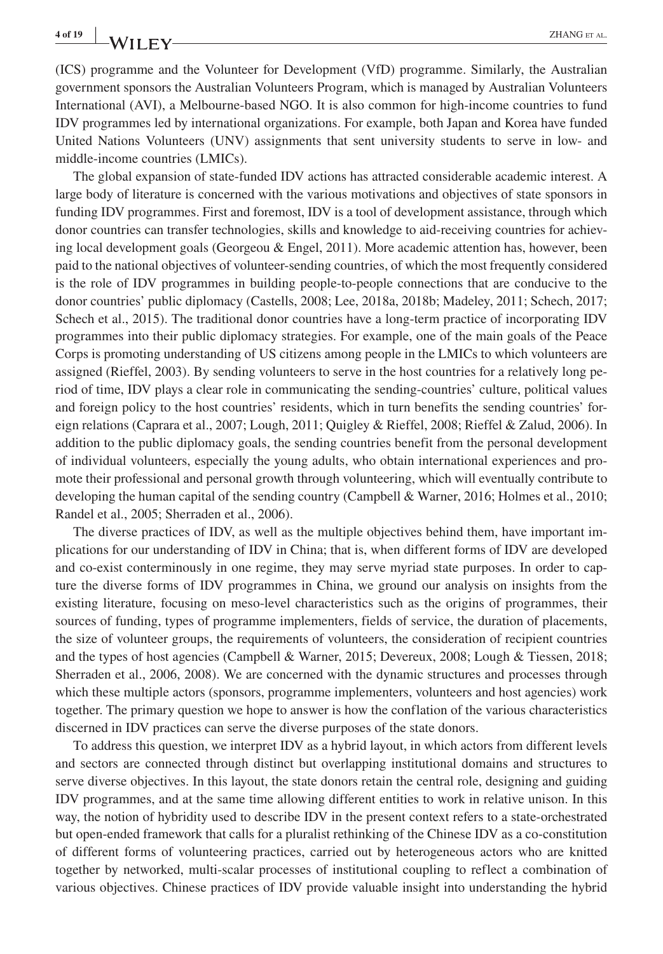(ICS) programme and the Volunteer for Development (VfD) programme. Similarly, the Australian government sponsors the Australian Volunteers Program, which is managed by Australian Volunteers International (AVI), a Melbourne-based NGO. It is also common for high-income countries to fund IDV programmes led by international organizations. For example, both Japan and Korea have funded United Nations Volunteers (UNV) assignments that sent university students to serve in low- and middle-income countries (LMICs).

The global expansion of state-funded IDV actions has attracted considerable academic interest. A large body of literature is concerned with the various motivations and objectives of state sponsors in funding IDV programmes. First and foremost, IDV is a tool of development assistance, through which donor countries can transfer technologies, skills and knowledge to aid-receiving countries for achieving local development goals (Georgeou & Engel, 2011). More academic attention has, however, been paid to the national objectives of volunteer-sending countries, of which the most frequently considered is the role of IDV programmes in building people-to-people connections that are conducive to the donor countries' public diplomacy (Castells, 2008; Lee, 2018a, 2018b; Madeley, 2011; Schech, 2017; Schech et al., 2015). The traditional donor countries have a long-term practice of incorporating IDV programmes into their public diplomacy strategies. For example, one of the main goals of the Peace Corps is promoting understanding of US citizens among people in the LMICs to which volunteers are assigned (Rieffel, 2003). By sending volunteers to serve in the host countries for a relatively long period of time, IDV plays a clear role in communicating the sending-countries' culture, political values and foreign policy to the host countries' residents, which in turn benefits the sending countries' foreign relations (Caprara et al., 2007; Lough, 2011; Quigley & Rieffel, 2008; Rieffel & Zalud, 2006). In addition to the public diplomacy goals, the sending countries benefit from the personal development of individual volunteers, especially the young adults, who obtain international experiences and promote their professional and personal growth through volunteering, which will eventually contribute to developing the human capital of the sending country (Campbell & Warner, 2016; Holmes et al., 2010; Randel et al., 2005; Sherraden et al., 2006).

The diverse practices of IDV, as well as the multiple objectives behind them, have important implications for our understanding of IDV in China; that is, when different forms of IDV are developed and co-exist conterminously in one regime, they may serve myriad state purposes. In order to capture the diverse forms of IDV programmes in China, we ground our analysis on insights from the existing literature, focusing on meso-level characteristics such as the origins of programmes, their sources of funding, types of programme implementers, fields of service, the duration of placements, the size of volunteer groups, the requirements of volunteers, the consideration of recipient countries and the types of host agencies (Campbell & Warner, 2015; Devereux, 2008; Lough & Tiessen, 2018; Sherraden et al., 2006, 2008). We are concerned with the dynamic structures and processes through which these multiple actors (sponsors, programme implementers, volunteers and host agencies) work together. The primary question we hope to answer is how the conflation of the various characteristics discerned in IDV practices can serve the diverse purposes of the state donors.

To address this question, we interpret IDV as a hybrid layout, in which actors from different levels and sectors are connected through distinct but overlapping institutional domains and structures to serve diverse objectives. In this layout, the state donors retain the central role, designing and guiding IDV programmes, and at the same time allowing different entities to work in relative unison. In this way, the notion of hybridity used to describe IDV in the present context refers to a state-orchestrated but open-ended framework that calls for a pluralist rethinking of the Chinese IDV as a co-constitution of different forms of volunteering practices, carried out by heterogeneous actors who are knitted together by networked, multi-scalar processes of institutional coupling to reflect a combination of various objectives. Chinese practices of IDV provide valuable insight into understanding the hybrid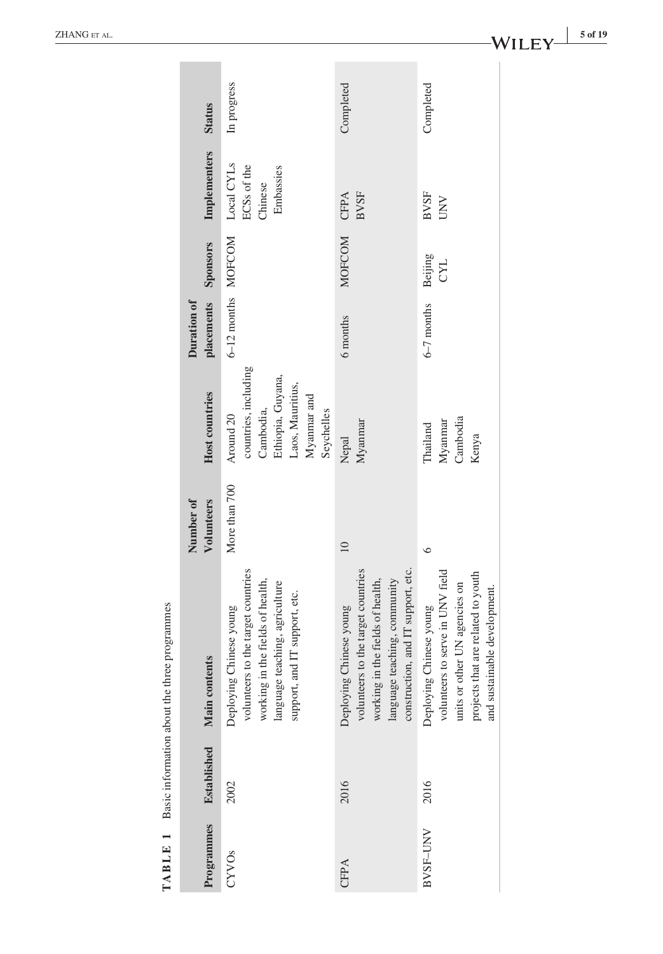| Programmes |                    | <b>TABLE 1</b> Basic information about the three programmes                                                                                                             | Number of       |                                                                                                                      | Duration of        |                       |                                                   |               |
|------------|--------------------|-------------------------------------------------------------------------------------------------------------------------------------------------------------------------|-----------------|----------------------------------------------------------------------------------------------------------------------|--------------------|-----------------------|---------------------------------------------------|---------------|
|            | <b>Established</b> | <b>Main contents</b>                                                                                                                                                    | Volunteers      | <b>Host countries</b>                                                                                                | placements         | Sponsors              | Implementers                                      | <b>Status</b> |
| 2002       |                    | volunteers to the target countries<br>working in the fields of health,<br>language teaching, agriculture<br>support, and IT support, etc.<br>Deploying Chinese young    | More than 700   | countries, including<br>Ethiopia, Guyana,<br>Laos, Mauritius,<br>Myanmar and<br>Cambodia,<br>Seychelles<br>Around 20 | 6-12 months MOFCOM |                       | Local CYLs<br>ECSs of the<br>Embassies<br>Chinese | In progress   |
| 2016       |                    | construction, and IT support, etc.<br>volunteers to the target countries<br>language teaching, community<br>working in the fields of health,<br>Deploying Chinese young | $\overline{10}$ | Myanmar<br>Nepal                                                                                                     | 6 months           | <b>MOFCOM</b>         | <b>BVSF</b><br>CFPA                               | Completed     |
| 2016       |                    | volunteers to serve in UNV field<br>projects that are related to youth<br>units or other UN agencies on<br>and sustainable development.<br>Deploying Chinese young      | $\circ$         | Cambodia<br>Myanmar<br>Thailand<br>Kenya                                                                             | $6-7$ months       | Beijing<br><b>CYL</b> | <b>BVSF</b><br>UNV                                | Completed     |
|            |                    |                                                                                                                                                                         |                 |                                                                                                                      |                    |                       |                                                   |               |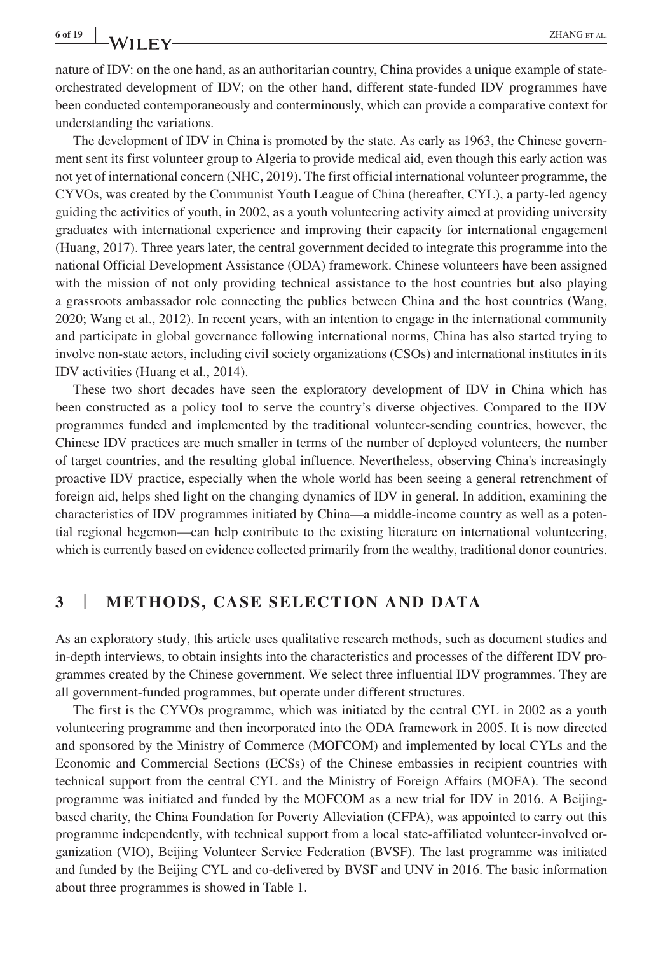nature of IDV: on the one hand, as an authoritarian country, China provides a unique example of stateorchestrated development of IDV; on the other hand, different state-funded IDV programmes have been conducted contemporaneously and conterminously, which can provide a comparative context for understanding the variations.

The development of IDV in China is promoted by the state. As early as 1963, the Chinese government sent its first volunteer group to Algeria to provide medical aid, even though this early action was not yet of international concern (NHC, 2019). The first official international volunteer programme, the CYVOs, was created by the Communist Youth League of China (hereafter, CYL), a party-led agency guiding the activities of youth, in 2002, as a youth volunteering activity aimed at providing university graduates with international experience and improving their capacity for international engagement (Huang, 2017). Three years later, the central government decided to integrate this programme into the national Official Development Assistance (ODA) framework. Chinese volunteers have been assigned with the mission of not only providing technical assistance to the host countries but also playing a grassroots ambassador role connecting the publics between China and the host countries (Wang, 2020; Wang et al., 2012). In recent years, with an intention to engage in the international community and participate in global governance following international norms, China has also started trying to involve non-state actors, including civil society organizations (CSOs) and international institutes in its IDV activities (Huang et al., 2014).

These two short decades have seen the exploratory development of IDV in China which has been constructed as a policy tool to serve the country's diverse objectives. Compared to the IDV programmes funded and implemented by the traditional volunteer-sending countries, however, the Chinese IDV practices are much smaller in terms of the number of deployed volunteers, the number of target countries, and the resulting global influence. Nevertheless, observing China's increasingly proactive IDV practice, especially when the whole world has been seeing a general retrenchment of foreign aid, helps shed light on the changing dynamics of IDV in general. In addition, examining the characteristics of IDV programmes initiated by China—a middle-income country as well as a potential regional hegemon—can help contribute to the existing literature on international volunteering, which is currently based on evidence collected primarily from the wealthy, traditional donor countries.

#### **3** | **METHODS, CASE SELECTION AND DATA**

As an exploratory study, this article uses qualitative research methods, such as document studies and in-depth interviews, to obtain insights into the characteristics and processes of the different IDV programmes created by the Chinese government. We select three influential IDV programmes. They are all government-funded programmes, but operate under different structures.

The first is the CYVOs programme, which was initiated by the central CYL in 2002 as a youth volunteering programme and then incorporated into the ODA framework in 2005. It is now directed and sponsored by the Ministry of Commerce (MOFCOM) and implemented by local CYLs and the Economic and Commercial Sections (ECSs) of the Chinese embassies in recipient countries with technical support from the central CYL and the Ministry of Foreign Affairs (MOFA). The second programme was initiated and funded by the MOFCOM as a new trial for IDV in 2016. A Beijingbased charity, the China Foundation for Poverty Alleviation (CFPA), was appointed to carry out this programme independently, with technical support from a local state-affiliated volunteer-involved organization (VIO), Beijing Volunteer Service Federation (BVSF). The last programme was initiated and funded by the Beijing CYL and co-delivered by BVSF and UNV in 2016. The basic information about three programmes is showed in Table 1.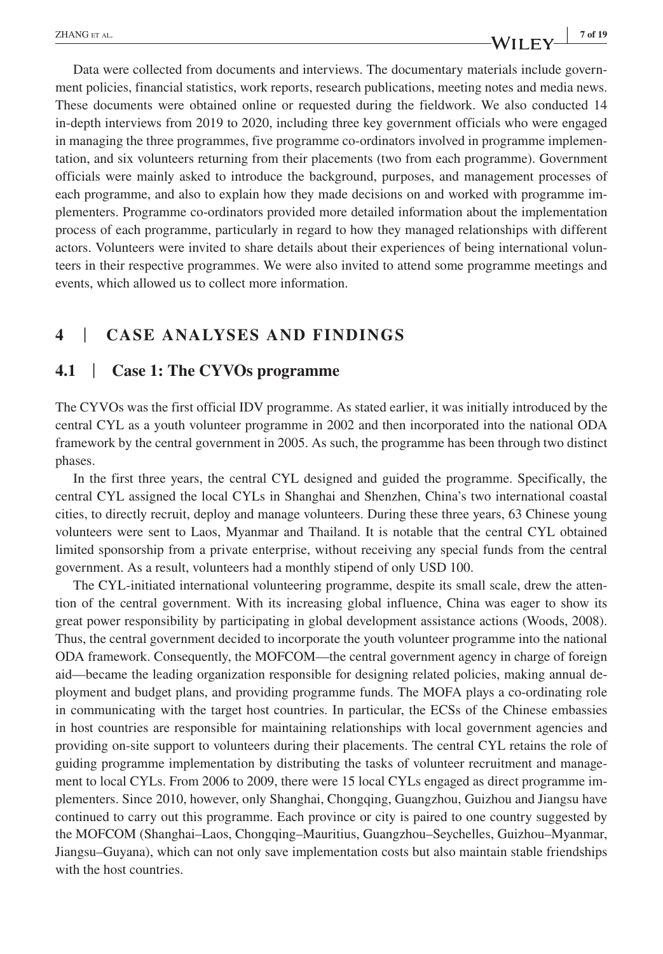# **ZHANG** ET AL. *7 of 19 7 of 19*

Data were collected from documents and interviews. The documentary materials include government policies, financial statistics, work reports, research publications, meeting notes and media news. These documents were obtained online or requested during the fieldwork. We also conducted 14 in-depth interviews from 2019 to 2020, including three key government officials who were engaged in managing the three programmes, five programme co-ordinators involved in programme implementation, and six volunteers returning from their placements (two from each programme). Government officials were mainly asked to introduce the background, purposes, and management processes of each programme, and also to explain how they made decisions on and worked with programme implementers. Programme co-ordinators provided more detailed information about the implementation process of each programme, particularly in regard to how they managed relationships with different actors. Volunteers were invited to share details about their experiences of being international volunteers in their respective programmes. We were also invited to attend some programme meetings and events, which allowed us to collect more information.

## **4** | **CASE ANALYSES AND FINDINGS**

#### **4.1** | **Case 1: The CYVOs programme**

The CYVOs was the first official IDV programme. As stated earlier, it was initially introduced by the central CYL as a youth volunteer programme in 2002 and then incorporated into the national ODA framework by the central government in 2005. As such, the programme has been through two distinct phases.

In the first three years, the central CYL designed and guided the programme. Specifically, the central CYL assigned the local CYLs in Shanghai and Shenzhen, China's two international coastal cities, to directly recruit, deploy and manage volunteers. During these three years, 63 Chinese young volunteers were sent to Laos, Myanmar and Thailand. It is notable that the central CYL obtained limited sponsorship from a private enterprise, without receiving any special funds from the central government. As a result, volunteers had a monthly stipend of only USD 100.

The CYL-initiated international volunteering programme, despite its small scale, drew the attention of the central government. With its increasing global influence, China was eager to show its great power responsibility by participating in global development assistance actions (Woods, 2008). Thus, the central government decided to incorporate the youth volunteer programme into the national ODA framework. Consequently, the MOFCOM—the central government agency in charge of foreign aid—became the leading organization responsible for designing related policies, making annual deployment and budget plans, and providing programme funds. The MOFA plays a co-ordinating role in communicating with the target host countries. In particular, the ECSs of the Chinese embassies in host countries are responsible for maintaining relationships with local government agencies and providing on-site support to volunteers during their placements. The central CYL retains the role of guiding programme implementation by distributing the tasks of volunteer recruitment and management to local CYLs. From 2006 to 2009, there were 15 local CYLs engaged as direct programme implementers. Since 2010, however, only Shanghai, Chongqing, Guangzhou, Guizhou and Jiangsu have continued to carry out this programme. Each province or city is paired to one country suggested by the MOFCOM (Shanghai–Laos, Chongqing–Mauritius, Guangzhou–Seychelles, Guizhou–Myanmar, Jiangsu–Guyana), which can not only save implementation costs but also maintain stable friendships with the host countries.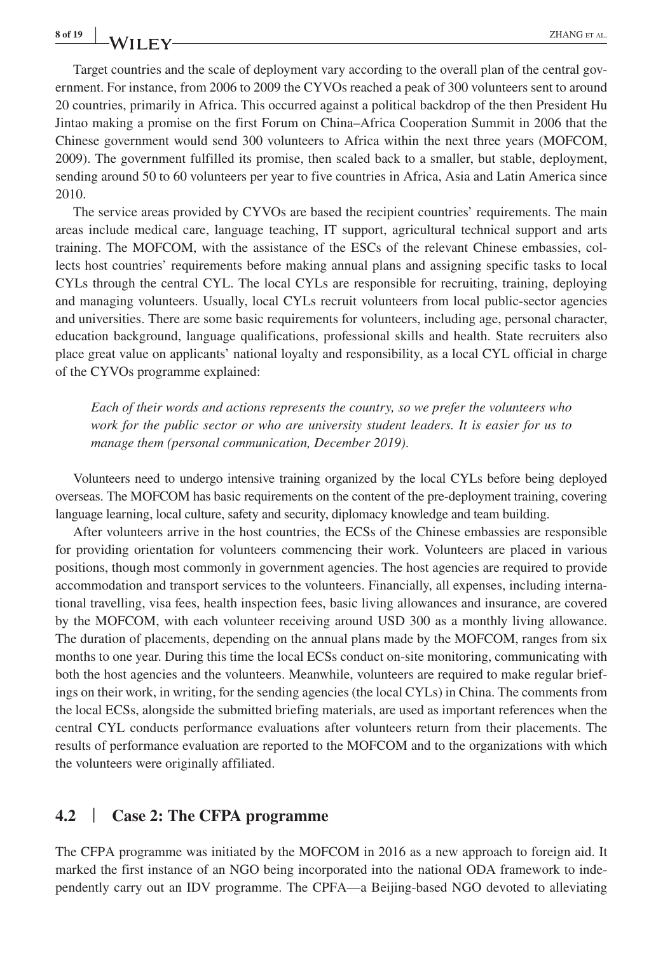Target countries and the scale of deployment vary according to the overall plan of the central government. For instance, from 2006 to 2009 the CYVOs reached a peak of 300 volunteers sent to around 20 countries, primarily in Africa. This occurred against a political backdrop of the then President Hu Jintao making a promise on the first Forum on China–Africa Cooperation Summit in 2006 that the Chinese government would send 300 volunteers to Africa within the next three years (MOFCOM, 2009). The government fulfilled its promise, then scaled back to a smaller, but stable, deployment, sending around 50 to 60 volunteers per year to five countries in Africa, Asia and Latin America since 2010.

The service areas provided by CYVOs are based the recipient countries' requirements. The main areas include medical care, language teaching, IT support, agricultural technical support and arts training. The MOFCOM, with the assistance of the ESCs of the relevant Chinese embassies, collects host countries' requirements before making annual plans and assigning specific tasks to local CYLs through the central CYL. The local CYLs are responsible for recruiting, training, deploying and managing volunteers. Usually, local CYLs recruit volunteers from local public-sector agencies and universities. There are some basic requirements for volunteers, including age, personal character, education background, language qualifications, professional skills and health. State recruiters also place great value on applicants' national loyalty and responsibility, as a local CYL official in charge of the CYVOs programme explained:

*Each of their words and actions represents the country, so we prefer the volunteers who work for the public sector or who are university student leaders. It is easier for us to manage them (personal communication, December 2019)*.

Volunteers need to undergo intensive training organized by the local CYLs before being deployed overseas. The MOFCOM has basic requirements on the content of the pre-deployment training, covering language learning, local culture, safety and security, diplomacy knowledge and team building.

After volunteers arrive in the host countries, the ECSs of the Chinese embassies are responsible for providing orientation for volunteers commencing their work. Volunteers are placed in various positions, though most commonly in government agencies. The host agencies are required to provide accommodation and transport services to the volunteers. Financially, all expenses, including international travelling, visa fees, health inspection fees, basic living allowances and insurance, are covered by the MOFCOM, with each volunteer receiving around USD 300 as a monthly living allowance. The duration of placements, depending on the annual plans made by the MOFCOM, ranges from six months to one year. During this time the local ECSs conduct on-site monitoring, communicating with both the host agencies and the volunteers. Meanwhile, volunteers are required to make regular briefings on their work, in writing, for the sending agencies (the local CYLs) in China. The comments from the local ECSs, alongside the submitted briefing materials, are used as important references when the central CYL conducts performance evaluations after volunteers return from their placements. The results of performance evaluation are reported to the MOFCOM and to the organizations with which the volunteers were originally affiliated.

#### **4.2** | **Case 2: The CFPA programme**

The CFPA programme was initiated by the MOFCOM in 2016 as a new approach to foreign aid. It marked the first instance of an NGO being incorporated into the national ODA framework to independently carry out an IDV programme. The CPFA—a Beijing-based NGO devoted to alleviating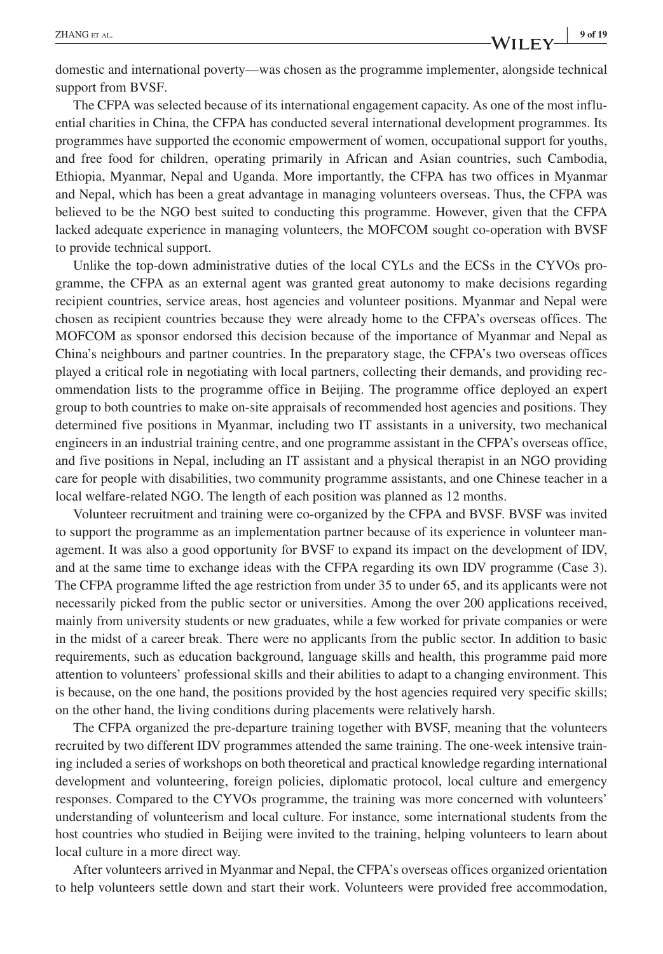domestic and international poverty—was chosen as the programme implementer, alongside technical support from BVSF.

The CFPA was selected because of its international engagement capacity. As one of the most influential charities in China, the CFPA has conducted several international development programmes. Its programmes have supported the economic empowerment of women, occupational support for youths, and free food for children, operating primarily in African and Asian countries, such Cambodia, Ethiopia, Myanmar, Nepal and Uganda. More importantly, the CFPA has two offices in Myanmar and Nepal, which has been a great advantage in managing volunteers overseas. Thus, the CFPA was believed to be the NGO best suited to conducting this programme. However, given that the CFPA lacked adequate experience in managing volunteers, the MOFCOM sought co-operation with BVSF to provide technical support.

Unlike the top-down administrative duties of the local CYLs and the ECSs in the CYVOs programme, the CFPA as an external agent was granted great autonomy to make decisions regarding recipient countries, service areas, host agencies and volunteer positions. Myanmar and Nepal were chosen as recipient countries because they were already home to the CFPA's overseas offices. The MOFCOM as sponsor endorsed this decision because of the importance of Myanmar and Nepal as China's neighbours and partner countries. In the preparatory stage, the CFPA's two overseas offices played a critical role in negotiating with local partners, collecting their demands, and providing recommendation lists to the programme office in Beijing. The programme office deployed an expert group to both countries to make on-site appraisals of recommended host agencies and positions. They determined five positions in Myanmar, including two IT assistants in a university, two mechanical engineers in an industrial training centre, and one programme assistant in the CFPA's overseas office, and five positions in Nepal, including an IT assistant and a physical therapist in an NGO providing care for people with disabilities, two community programme assistants, and one Chinese teacher in a local welfare-related NGO. The length of each position was planned as 12 months.

Volunteer recruitment and training were co-organized by the CFPA and BVSF. BVSF was invited to support the programme as an implementation partner because of its experience in volunteer management. It was also a good opportunity for BVSF to expand its impact on the development of IDV, and at the same time to exchange ideas with the CFPA regarding its own IDV programme (Case 3). The CFPA programme lifted the age restriction from under 35 to under 65, and its applicants were not necessarily picked from the public sector or universities. Among the over 200 applications received, mainly from university students or new graduates, while a few worked for private companies or were in the midst of a career break. There were no applicants from the public sector. In addition to basic requirements, such as education background, language skills and health, this programme paid more attention to volunteers' professional skills and their abilities to adapt to a changing environment. This is because, on the one hand, the positions provided by the host agencies required very specific skills; on the other hand, the living conditions during placements were relatively harsh.

The CFPA organized the pre-departure training together with BVSF, meaning that the volunteers recruited by two different IDV programmes attended the same training. The one-week intensive training included a series of workshops on both theoretical and practical knowledge regarding international development and volunteering, foreign policies, diplomatic protocol, local culture and emergency responses. Compared to the CYVOs programme, the training was more concerned with volunteers' understanding of volunteerism and local culture. For instance, some international students from the host countries who studied in Beijing were invited to the training, helping volunteers to learn about local culture in a more direct way.

After volunteers arrived in Myanmar and Nepal, the CFPA's overseas offices organized orientation to help volunteers settle down and start their work. Volunteers were provided free accommodation,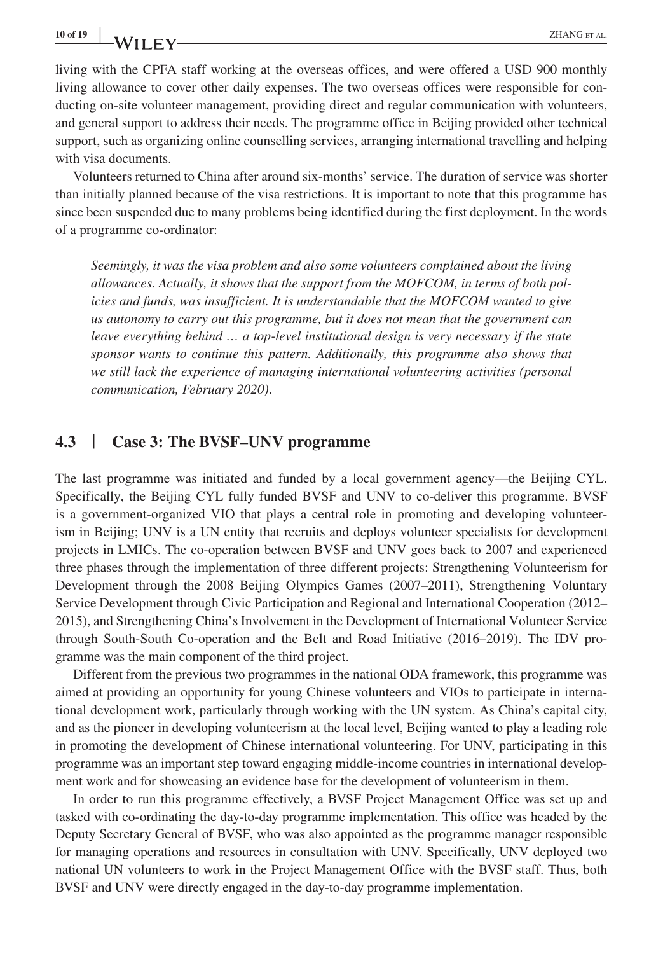living with the CPFA staff working at the overseas offices, and were offered a USD 900 monthly living allowance to cover other daily expenses. The two overseas offices were responsible for conducting on-site volunteer management, providing direct and regular communication with volunteers, and general support to address their needs. The programme office in Beijing provided other technical support, such as organizing online counselling services, arranging international travelling and helping with visa documents.

Volunteers returned to China after around six-months' service. The duration of service was shorter than initially planned because of the visa restrictions. It is important to note that this programme has since been suspended due to many problems being identified during the first deployment. In the words of a programme co-ordinator:

*Seemingly, it was the visa problem and also some volunteers complained about the living allowances. Actually, it shows that the support from the MOFCOM, in terms of both policies and funds, was insufficient. It is understandable that the MOFCOM wanted to give us autonomy to carry out this programme, but it does not mean that the government can leave everything behind … a top-level institutional design is very necessary if the state sponsor wants to continue this pattern. Additionally, this programme also shows that we still lack the experience of managing international volunteering activities (personal communication, February 2020)*.

## **4.3** | **Case 3: The BVSF–UNV programme**

The last programme was initiated and funded by a local government agency—the Beijing CYL. Specifically, the Beijing CYL fully funded BVSF and UNV to co-deliver this programme. BVSF is a government-organized VIO that plays a central role in promoting and developing volunteerism in Beijing; UNV is a UN entity that recruits and deploys volunteer specialists for development projects in LMICs. The co-operation between BVSF and UNV goes back to 2007 and experienced three phases through the implementation of three different projects: Strengthening Volunteerism for Development through the 2008 Beijing Olympics Games (2007–2011), Strengthening Voluntary Service Development through Civic Participation and Regional and International Cooperation (2012– 2015), and Strengthening China's Involvement in the Development of International Volunteer Service through South-South Co-operation and the Belt and Road Initiative (2016–2019). The IDV programme was the main component of the third project.

Different from the previous two programmes in the national ODA framework, this programme was aimed at providing an opportunity for young Chinese volunteers and VIOs to participate in international development work, particularly through working with the UN system. As China's capital city, and as the pioneer in developing volunteerism at the local level, Beijing wanted to play a leading role in promoting the development of Chinese international volunteering. For UNV, participating in this programme was an important step toward engaging middle-income countries in international development work and for showcasing an evidence base for the development of volunteerism in them.

In order to run this programme effectively, a BVSF Project Management Office was set up and tasked with co-ordinating the day-to-day programme implementation. This office was headed by the Deputy Secretary General of BVSF, who was also appointed as the programme manager responsible for managing operations and resources in consultation with UNV. Specifically, UNV deployed two national UN volunteers to work in the Project Management Office with the BVSF staff. Thus, both BVSF and UNV were directly engaged in the day-to-day programme implementation.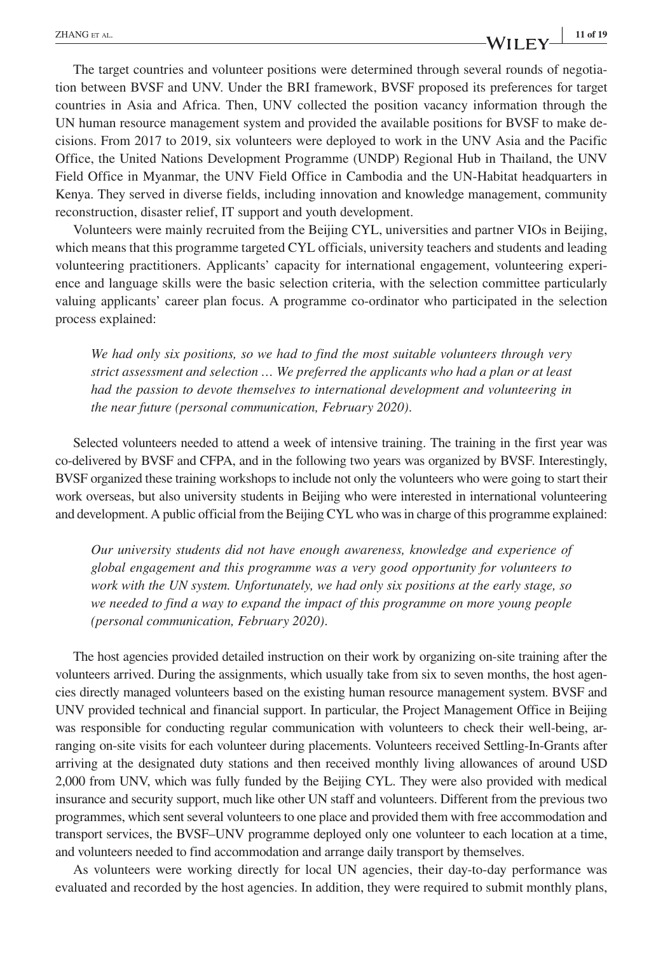# **ZHANG** ET AL. **11 of 19 IP**  $\mathbf{W}$  **iii**  $\mathbf{F}$  **V iii**  $\mathbf{F}$  **V iii**  $\mathbf{F}$  **iii**  $\mathbf{F}$

The target countries and volunteer positions were determined through several rounds of negotiation between BVSF and UNV. Under the BRI framework, BVSF proposed its preferences for target countries in Asia and Africa. Then, UNV collected the position vacancy information through the UN human resource management system and provided the available positions for BVSF to make decisions. From 2017 to 2019, six volunteers were deployed to work in the UNV Asia and the Pacific Office, the United Nations Development Programme (UNDP) Regional Hub in Thailand, the UNV Field Office in Myanmar, the UNV Field Office in Cambodia and the UN-Habitat headquarters in Kenya. They served in diverse fields, including innovation and knowledge management, community reconstruction, disaster relief, IT support and youth development.

Volunteers were mainly recruited from the Beijing CYL, universities and partner VIOs in Beijing, which means that this programme targeted CYL officials, university teachers and students and leading volunteering practitioners. Applicants' capacity for international engagement, volunteering experience and language skills were the basic selection criteria, with the selection committee particularly valuing applicants' career plan focus. A programme co-ordinator who participated in the selection process explained:

*We had only six positions, so we had to find the most suitable volunteers through very strict assessment and selection … We preferred the applicants who had a plan or at least had the passion to devote themselves to international development and volunteering in the near future (personal communication, February 2020)*.

Selected volunteers needed to attend a week of intensive training. The training in the first year was co-delivered by BVSF and CFPA, and in the following two years was organized by BVSF. Interestingly, BVSF organized these training workshops to include not only the volunteers who were going to start their work overseas, but also university students in Beijing who were interested in international volunteering and development. A public official from the Beijing CYL who was in charge of this programme explained:

*Our university students did not have enough awareness, knowledge and experience of global engagement and this programme was a very good opportunity for volunteers to work with the UN system. Unfortunately, we had only six positions at the early stage, so we needed to find a way to expand the impact of this programme on more young people (personal communication, February 2020)*.

The host agencies provided detailed instruction on their work by organizing on-site training after the volunteers arrived. During the assignments, which usually take from six to seven months, the host agencies directly managed volunteers based on the existing human resource management system. BVSF and UNV provided technical and financial support. In particular, the Project Management Office in Beijing was responsible for conducting regular communication with volunteers to check their well-being, arranging on-site visits for each volunteer during placements. Volunteers received Settling-In-Grants after arriving at the designated duty stations and then received monthly living allowances of around USD 2,000 from UNV, which was fully funded by the Beijing CYL. They were also provided with medical insurance and security support, much like other UN staff and volunteers. Different from the previous two programmes, which sent several volunteers to one place and provided them with free accommodation and transport services, the BVSF–UNV programme deployed only one volunteer to each location at a time, and volunteers needed to find accommodation and arrange daily transport by themselves.

As volunteers were working directly for local UN agencies, their day-to-day performance was evaluated and recorded by the host agencies. In addition, they were required to submit monthly plans,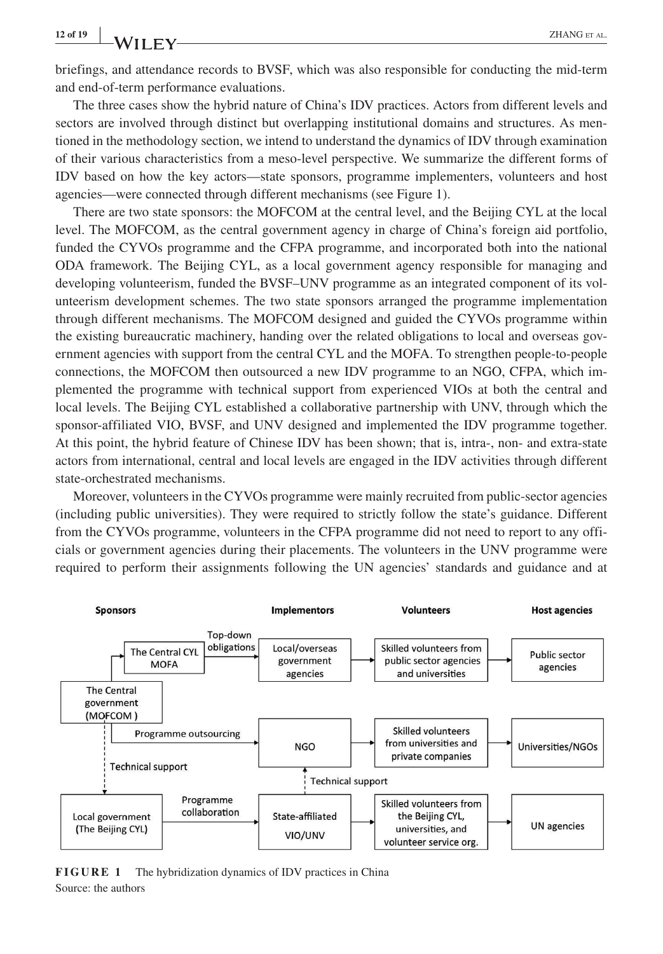briefings, and attendance records to BVSF, which was also responsible for conducting the mid-term and end-of-term performance evaluations.

The three cases show the hybrid nature of China's IDV practices. Actors from different levels and sectors are involved through distinct but overlapping institutional domains and structures. As mentioned in the methodology section, we intend to understand the dynamics of IDV through examination of their various characteristics from a meso-level perspective. We summarize the different forms of IDV based on how the key actors—state sponsors, programme implementers, volunteers and host agencies—were connected through different mechanisms (see Figure 1).

There are two state sponsors: the MOFCOM at the central level, and the Beijing CYL at the local level. The MOFCOM, as the central government agency in charge of China's foreign aid portfolio, funded the CYVOs programme and the CFPA programme, and incorporated both into the national ODA framework. The Beijing CYL, as a local government agency responsible for managing and developing volunteerism, funded the BVSF–UNV programme as an integrated component of its volunteerism development schemes. The two state sponsors arranged the programme implementation through different mechanisms. The MOFCOM designed and guided the CYVOs programme within the existing bureaucratic machinery, handing over the related obligations to local and overseas government agencies with support from the central CYL and the MOFA. To strengthen people-to-people connections, the MOFCOM then outsourced a new IDV programme to an NGO, CFPA, which implemented the programme with technical support from experienced VIOs at both the central and local levels. The Beijing CYL established a collaborative partnership with UNV, through which the sponsor-affiliated VIO, BVSF, and UNV designed and implemented the IDV programme together. At this point, the hybrid feature of Chinese IDV has been shown; that is, intra-, non- and extra-state actors from international, central and local levels are engaged in the IDV activities through different state-orchestrated mechanisms.

Moreover, volunteers in the CYVOs programme were mainly recruited from public-sector agencies (including public universities). They were required to strictly follow the state's guidance. Different from the CYVOs programme, volunteers in the CFPA programme did not need to report to any officials or government agencies during their placements. The volunteers in the UNV programme were required to perform their assignments following the UN agencies' standards and guidance and at



**FIGURE 1** The hybridization dynamics of IDV practices in China Source: the authors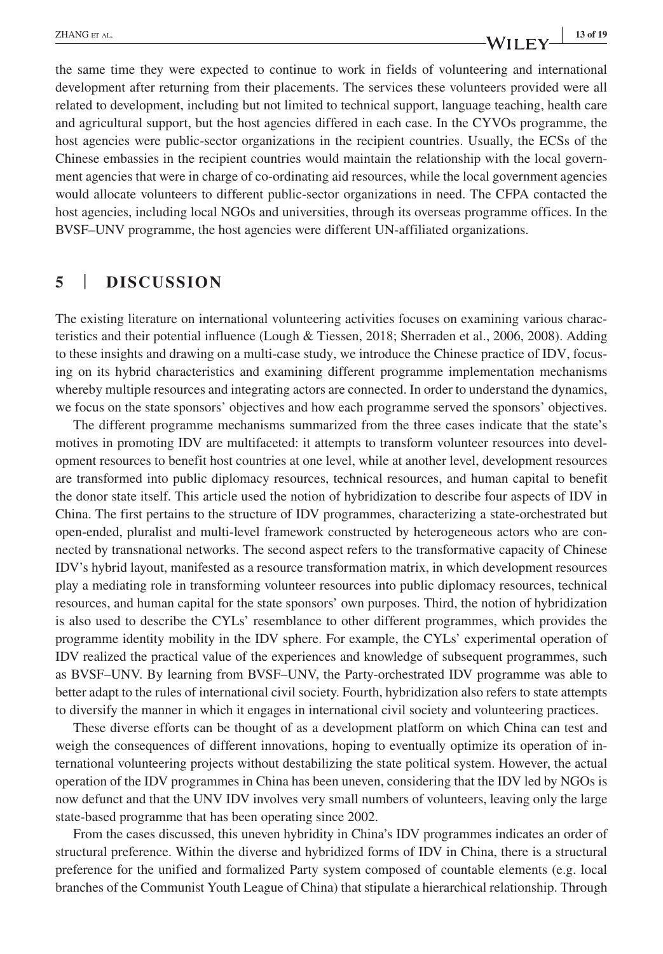# **ZHANG** ET AL. **13 of 19**<br>**13 of 19**

the same time they were expected to continue to work in fields of volunteering and international development after returning from their placements. The services these volunteers provided were all related to development, including but not limited to technical support, language teaching, health care and agricultural support, but the host agencies differed in each case. In the CYVOs programme, the host agencies were public-sector organizations in the recipient countries. Usually, the ECSs of the Chinese embassies in the recipient countries would maintain the relationship with the local government agencies that were in charge of co-ordinating aid resources, while the local government agencies would allocate volunteers to different public-sector organizations in need. The CFPA contacted the host agencies, including local NGOs and universities, through its overseas programme offices. In the BVSF–UNV programme, the host agencies were different UN-affiliated organizations.

## **5** | **DISCUSSION**

The existing literature on international volunteering activities focuses on examining various characteristics and their potential influence (Lough & Tiessen, 2018; Sherraden et al., 2006, 2008). Adding to these insights and drawing on a multi-case study, we introduce the Chinese practice of IDV, focusing on its hybrid characteristics and examining different programme implementation mechanisms whereby multiple resources and integrating actors are connected. In order to understand the dynamics, we focus on the state sponsors' objectives and how each programme served the sponsors' objectives.

The different programme mechanisms summarized from the three cases indicate that the state's motives in promoting IDV are multifaceted: it attempts to transform volunteer resources into development resources to benefit host countries at one level, while at another level, development resources are transformed into public diplomacy resources, technical resources, and human capital to benefit the donor state itself. This article used the notion of hybridization to describe four aspects of IDV in China. The first pertains to the structure of IDV programmes, characterizing a state-orchestrated but open-ended, pluralist and multi-level framework constructed by heterogeneous actors who are connected by transnational networks. The second aspect refers to the transformative capacity of Chinese IDV's hybrid layout, manifested as a resource transformation matrix, in which development resources play a mediating role in transforming volunteer resources into public diplomacy resources, technical resources, and human capital for the state sponsors' own purposes. Third, the notion of hybridization is also used to describe the CYLs' resemblance to other different programmes, which provides the programme identity mobility in the IDV sphere. For example, the CYLs' experimental operation of IDV realized the practical value of the experiences and knowledge of subsequent programmes, such as BVSF–UNV. By learning from BVSF–UNV, the Party-orchestrated IDV programme was able to better adapt to the rules of international civil society. Fourth, hybridization also refers to state attempts to diversify the manner in which it engages in international civil society and volunteering practices.

These diverse efforts can be thought of as a development platform on which China can test and weigh the consequences of different innovations, hoping to eventually optimize its operation of international volunteering projects without destabilizing the state political system. However, the actual operation of the IDV programmes in China has been uneven, considering that the IDV led by NGOs is now defunct and that the UNV IDV involves very small numbers of volunteers, leaving only the large state-based programme that has been operating since 2002.

From the cases discussed, this uneven hybridity in China's IDV programmes indicates an order of structural preference. Within the diverse and hybridized forms of IDV in China, there is a structural preference for the unified and formalized Party system composed of countable elements (e.g. local branches of the Communist Youth League of China) that stipulate a hierarchical relationship. Through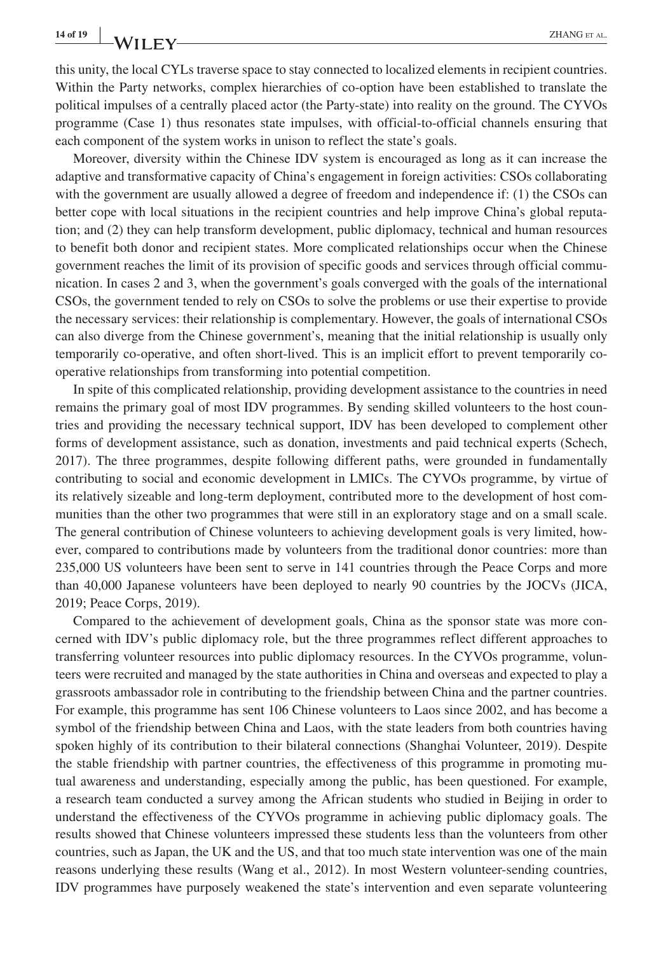this unity, the local CYLs traverse space to stay connected to localized elements in recipient countries. Within the Party networks, complex hierarchies of co-option have been established to translate the political impulses of a centrally placed actor (the Party-state) into reality on the ground. The CYVOs programme (Case 1) thus resonates state impulses, with official-to-official channels ensuring that each component of the system works in unison to reflect the state's goals.

Moreover, diversity within the Chinese IDV system is encouraged as long as it can increase the adaptive and transformative capacity of China's engagement in foreign activities: CSOs collaborating with the government are usually allowed a degree of freedom and independence if: (1) the CSOs can better cope with local situations in the recipient countries and help improve China's global reputation; and (2) they can help transform development, public diplomacy, technical and human resources to benefit both donor and recipient states. More complicated relationships occur when the Chinese government reaches the limit of its provision of specific goods and services through official communication. In cases 2 and 3, when the government's goals converged with the goals of the international CSOs, the government tended to rely on CSOs to solve the problems or use their expertise to provide the necessary services: their relationship is complementary. However, the goals of international CSOs can also diverge from the Chinese government's, meaning that the initial relationship is usually only temporarily co-operative, and often short-lived. This is an implicit effort to prevent temporarily cooperative relationships from transforming into potential competition.

In spite of this complicated relationship, providing development assistance to the countries in need remains the primary goal of most IDV programmes. By sending skilled volunteers to the host countries and providing the necessary technical support, IDV has been developed to complement other forms of development assistance, such as donation, investments and paid technical experts (Schech, 2017). The three programmes, despite following different paths, were grounded in fundamentally contributing to social and economic development in LMICs. The CYVOs programme, by virtue of its relatively sizeable and long-term deployment, contributed more to the development of host communities than the other two programmes that were still in an exploratory stage and on a small scale. The general contribution of Chinese volunteers to achieving development goals is very limited, however, compared to contributions made by volunteers from the traditional donor countries: more than 235,000 US volunteers have been sent to serve in 141 countries through the Peace Corps and more than 40,000 Japanese volunteers have been deployed to nearly 90 countries by the JOCVs (JICA, 2019; Peace Corps, 2019).

Compared to the achievement of development goals, China as the sponsor state was more concerned with IDV's public diplomacy role, but the three programmes reflect different approaches to transferring volunteer resources into public diplomacy resources. In the CYVOs programme, volunteers were recruited and managed by the state authorities in China and overseas and expected to play a grassroots ambassador role in contributing to the friendship between China and the partner countries. For example, this programme has sent 106 Chinese volunteers to Laos since 2002, and has become a symbol of the friendship between China and Laos, with the state leaders from both countries having spoken highly of its contribution to their bilateral connections (Shanghai Volunteer, 2019). Despite the stable friendship with partner countries, the effectiveness of this programme in promoting mutual awareness and understanding, especially among the public, has been questioned. For example, a research team conducted a survey among the African students who studied in Beijing in order to understand the effectiveness of the CYVOs programme in achieving public diplomacy goals. The results showed that Chinese volunteers impressed these students less than the volunteers from other countries, such as Japan, the UK and the US, and that too much state intervention was one of the main reasons underlying these results (Wang et al., 2012). In most Western volunteer-sending countries, IDV programmes have purposely weakened the state's intervention and even separate volunteering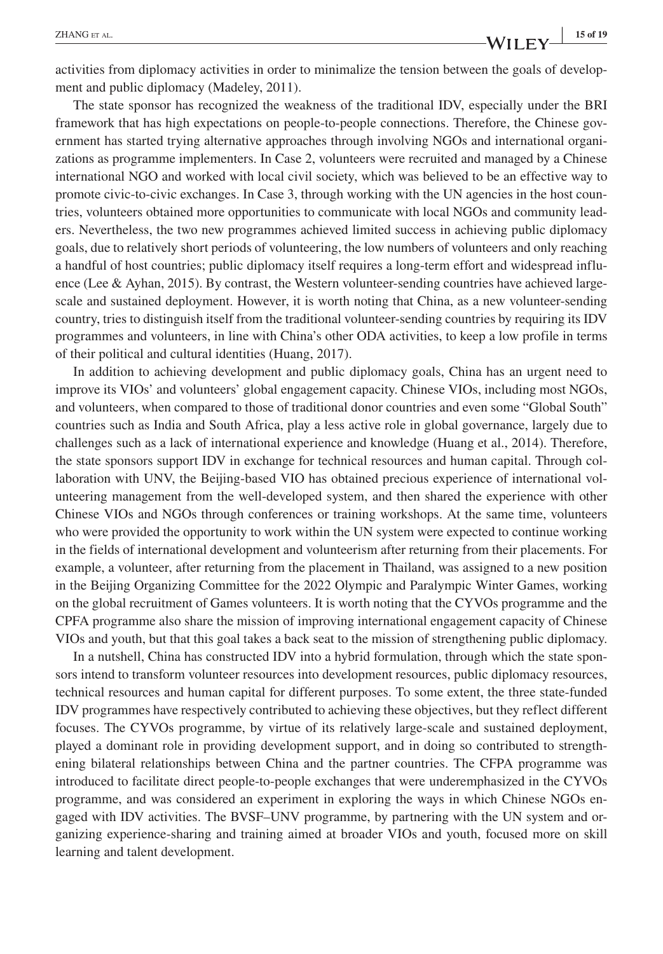activities from diplomacy activities in order to minimalize the tension between the goals of development and public diplomacy (Madeley, 2011).

The state sponsor has recognized the weakness of the traditional IDV, especially under the BRI framework that has high expectations on people-to-people connections. Therefore, the Chinese government has started trying alternative approaches through involving NGOs and international organizations as programme implementers. In Case 2, volunteers were recruited and managed by a Chinese international NGO and worked with local civil society, which was believed to be an effective way to promote civic-to-civic exchanges. In Case 3, through working with the UN agencies in the host countries, volunteers obtained more opportunities to communicate with local NGOs and community leaders. Nevertheless, the two new programmes achieved limited success in achieving public diplomacy goals, due to relatively short periods of volunteering, the low numbers of volunteers and only reaching a handful of host countries; public diplomacy itself requires a long-term effort and widespread influence (Lee & Ayhan, 2015). By contrast, the Western volunteer-sending countries have achieved largescale and sustained deployment. However, it is worth noting that China, as a new volunteer-sending country, tries to distinguish itself from the traditional volunteer-sending countries by requiring its IDV programmes and volunteers, in line with China's other ODA activities, to keep a low profile in terms of their political and cultural identities (Huang, 2017).

In addition to achieving development and public diplomacy goals, China has an urgent need to improve its VIOs' and volunteers' global engagement capacity. Chinese VIOs, including most NGOs, and volunteers, when compared to those of traditional donor countries and even some "Global South" countries such as India and South Africa, play a less active role in global governance, largely due to challenges such as a lack of international experience and knowledge (Huang et al., 2014). Therefore, the state sponsors support IDV in exchange for technical resources and human capital. Through collaboration with UNV, the Beijing-based VIO has obtained precious experience of international volunteering management from the well-developed system, and then shared the experience with other Chinese VIOs and NGOs through conferences or training workshops. At the same time, volunteers who were provided the opportunity to work within the UN system were expected to continue working in the fields of international development and volunteerism after returning from their placements. For example, a volunteer, after returning from the placement in Thailand, was assigned to a new position in the Beijing Organizing Committee for the 2022 Olympic and Paralympic Winter Games, working on the global recruitment of Games volunteers. It is worth noting that the CYVOs programme and the CPFA programme also share the mission of improving international engagement capacity of Chinese VIOs and youth, but that this goal takes a back seat to the mission of strengthening public diplomacy.

In a nutshell, China has constructed IDV into a hybrid formulation, through which the state sponsors intend to transform volunteer resources into development resources, public diplomacy resources, technical resources and human capital for different purposes. To some extent, the three state-funded IDV programmes have respectively contributed to achieving these objectives, but they reflect different focuses. The CYVOs programme, by virtue of its relatively large-scale and sustained deployment, played a dominant role in providing development support, and in doing so contributed to strengthening bilateral relationships between China and the partner countries. The CFPA programme was introduced to facilitate direct people-to-people exchanges that were underemphasized in the CYVOs programme, and was considered an experiment in exploring the ways in which Chinese NGOs engaged with IDV activities. The BVSF–UNV programme, by partnering with the UN system and organizing experience-sharing and training aimed at broader VIOs and youth, focused more on skill learning and talent development.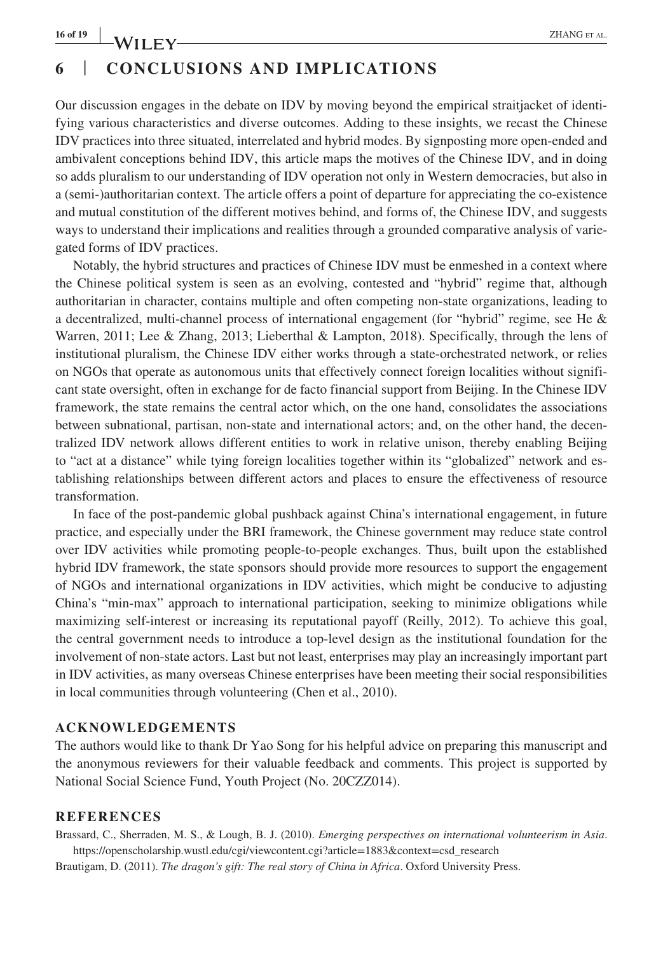# **6** | **CONCLUSIONS AND IMPLICATIONS**

Our discussion engages in the debate on IDV by moving beyond the empirical straitjacket of identifying various characteristics and diverse outcomes. Adding to these insights, we recast the Chinese IDV practices into three situated, interrelated and hybrid modes. By signposting more open-ended and ambivalent conceptions behind IDV, this article maps the motives of the Chinese IDV, and in doing so adds pluralism to our understanding of IDV operation not only in Western democracies, but also in a (semi-)authoritarian context. The article offers a point of departure for appreciating the co-existence and mutual constitution of the different motives behind, and forms of, the Chinese IDV, and suggests ways to understand their implications and realities through a grounded comparative analysis of variegated forms of IDV practices.

Notably, the hybrid structures and practices of Chinese IDV must be enmeshed in a context where the Chinese political system is seen as an evolving, contested and "hybrid" regime that, although authoritarian in character, contains multiple and often competing non-state organizations, leading to a decentralized, multi-channel process of international engagement (for "hybrid" regime, see He & Warren, 2011; Lee & Zhang, 2013; Lieberthal & Lampton, 2018). Specifically, through the lens of institutional pluralism, the Chinese IDV either works through a state-orchestrated network, or relies on NGOs that operate as autonomous units that effectively connect foreign localities without significant state oversight, often in exchange for de facto financial support from Beijing. In the Chinese IDV framework, the state remains the central actor which, on the one hand, consolidates the associations between subnational, partisan, non-state and international actors; and, on the other hand, the decentralized IDV network allows different entities to work in relative unison, thereby enabling Beijing to "act at a distance" while tying foreign localities together within its "globalized" network and establishing relationships between different actors and places to ensure the effectiveness of resource transformation.

In face of the post-pandemic global pushback against China's international engagement, in future practice, and especially under the BRI framework, the Chinese government may reduce state control over IDV activities while promoting people-to-people exchanges. Thus, built upon the established hybrid IDV framework, the state sponsors should provide more resources to support the engagement of NGOs and international organizations in IDV activities, which might be conducive to adjusting China's "min-max" approach to international participation, seeking to minimize obligations while maximizing self-interest or increasing its reputational payoff (Reilly, 2012). To achieve this goal, the central government needs to introduce a top-level design as the institutional foundation for the involvement of non-state actors. Last but not least, enterprises may play an increasingly important part in IDV activities, as many overseas Chinese enterprises have been meeting their social responsibilities in local communities through volunteering (Chen et al., 2010).

## **ACKNOWLEDGEMENTS**

The authors would like to thank Dr Yao Song for his helpful advice on preparing this manuscript and the anonymous reviewers for their valuable feedback and comments. This project is supported by National Social Science Fund, Youth Project (No. 20CZZ014).

#### **REFERENCES**

Brassard, C., Sherraden, M. S., & Lough, B. J. (2010). *Emerging perspectives on international volunteerism in Asia*. [https://openscholarship.wustl.edu/cgi/viewcontent.cgi?article=1883&context=csd\\_research](https://openscholarship.wustl.edu/cgi/viewcontent.cgi?article=1883&context=csd_research) Brautigam, D. (2011). *The dragon's gift: The real story of China in Africa*. Oxford University Press.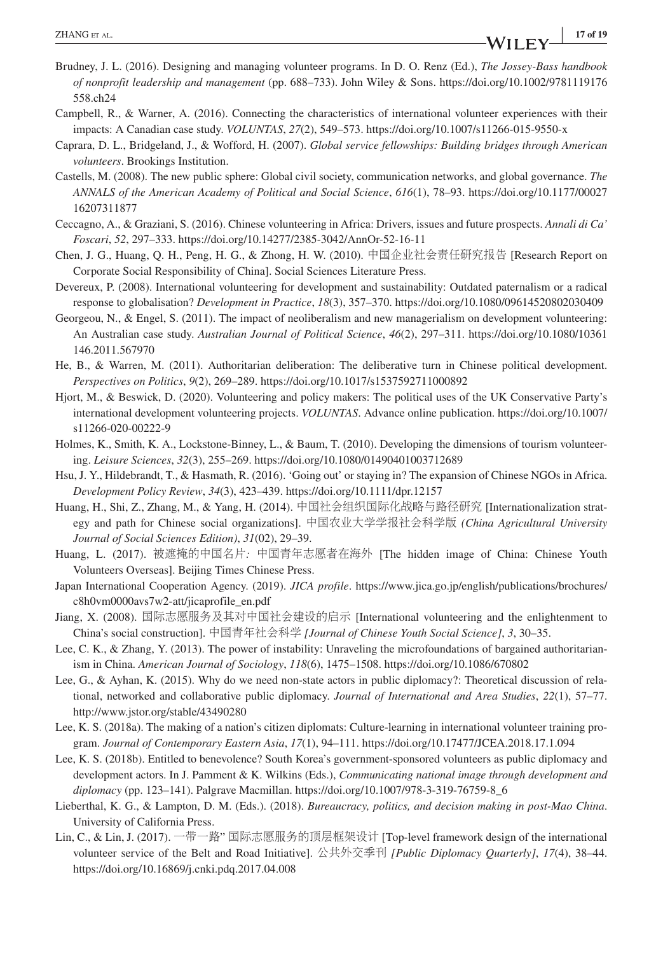- Brudney, J. L. (2016). Designing and managing volunteer programs. In D. O. Renz (Ed.), *The Jossey-Bass handbook of nonprofit leadership and management* (pp. 688–733). John Wiley & Sons. [https://doi.org/10.1002/9781119176](https://doi.org/10.1002/9781119176558.ch24) [558.ch24](https://doi.org/10.1002/9781119176558.ch24)
- Campbell, R., & Warner, A. (2016). Connecting the characteristics of international volunteer experiences with their impacts: A Canadian case study. *VOLUNTAS*, *27*(2), 549–573.<https://doi.org/10.1007/s11266-015-9550-x>
- Caprara, D. L., Bridgeland, J., & Wofford, H. (2007). *Global service fellowships: Building bridges through American volunteers*. Brookings Institution.
- Castells, M. (2008). The new public sphere: Global civil society, communication networks, and global governance. *The ANNALS of the American Academy of Political and Social Science*, *616*(1), 78–93. [https://doi.org/10.1177/00027](https://doi.org/10.1177/0002716207311877) [16207311877](https://doi.org/10.1177/0002716207311877)
- Ceccagno, A., & Graziani, S. (2016). Chinese volunteering in Africa: Drivers, issues and future prospects. *Annali di Ca' Foscari*, *52*, 297–333. <https://doi.org/10.14277/2385-3042/AnnOr-52-16-11>
- Chen, J. G., Huang, Q. H., Peng, H. G., & Zhong, H. W. (2010). 中国企业社会责任研究报告 [Research Report on Corporate Social Responsibility of China]. Social Sciences Literature Press.
- Devereux, P. (2008). International volunteering for development and sustainability: Outdated paternalism or a radical response to globalisation? *Development in Practice*, *18*(3), 357–370. <https://doi.org/10.1080/09614520802030409>
- Georgeou, N., & Engel, S. (2011). The impact of neoliberalism and new managerialism on development volunteering: An Australian case study. *Australian Journal of Political Science*, *46*(2), 297–311. [https://doi.org/10.1080/10361](https://doi.org/10.1080/10361146.2011.567970) [146.2011.567970](https://doi.org/10.1080/10361146.2011.567970)
- He, B., & Warren, M. (2011). Authoritarian deliberation: The deliberative turn in Chinese political development. *Perspectives on Politics*, *9*(2), 269–289. <https://doi.org/10.1017/s1537592711000892>
- Hjort, M., & Beswick, D. (2020). Volunteering and policy makers: The political uses of the UK Conservative Party's international development volunteering projects. *VOLUNTAS*. Advance online publication. [https://doi.org/10.1007/](https://doi.org/10.1007/s11266-020-00222-9) [s11266-020-00222-9](https://doi.org/10.1007/s11266-020-00222-9)
- Holmes, K., Smith, K. A., Lockstone-Binney, L., & Baum, T. (2010). Developing the dimensions of tourism volunteering. *Leisure Sciences*, *32*(3), 255–269.<https://doi.org/10.1080/01490401003712689>
- Hsu, J. Y., Hildebrandt, T., & Hasmath, R. (2016). 'Going out' or staying in? The expansion of Chinese NGOs in Africa. *Development Policy Review*, *34*(3), 423–439.<https://doi.org/10.1111/dpr.12157>
- Huang, H., Shi, Z., Zhang, M., & Yang, H. (2014). 中国社会组织国际化战略与路径研究 [Internationalization strategy and path for Chinese social organizations]. 中国农业大学学报社会科学版 *(China Agricultural University Journal of Social Sciences Edition)*, *31*(02), 29–39.
- Huang, L. (2017). 被遮掩的中国名片*:* 中国青年志愿者在海外 [The hidden image of China: Chinese Youth Volunteers Overseas]. Beijing Times Chinese Press.
- Japan International Cooperation Agency. (2019). *JICA profile*. [https://www.jica.go.jp/english/publications/brochures/](https://www.jica.go.jp/english/publications/brochures/c8h0vm0000avs7w2-att/jicaprofile_en.pdf) [c8h0vm0000avs7w2-att/jicaprofile\\_en.pdf](https://www.jica.go.jp/english/publications/brochures/c8h0vm0000avs7w2-att/jicaprofile_en.pdf)
- Jiang, X. (2008). 国际志愿服务及其对中国社会建设的启示 [International volunteering and the enlightenment to China's social construction]. 中国青年社会科学 *[Journal of Chinese Youth Social Science]*, *3*, 30–35.
- Lee, C. K., & Zhang, Y. (2013). The power of instability: Unraveling the microfoundations of bargained authoritarianism in China. *American Journal of Sociology*, *118*(6), 1475–1508.<https://doi.org/10.1086/670802>
- Lee, G., & Ayhan, K. (2015). Why do we need non-state actors in public diplomacy?: Theoretical discussion of relational, networked and collaborative public diplomacy. *Journal of International and Area Studies*, *22*(1), 57–77. <http://www.jstor.org/stable/43490280>
- Lee, K. S. (2018a). The making of a nation's citizen diplomats: Culture-learning in international volunteer training program. *Journal of Contemporary Eastern Asia*, *17*(1), 94–111. <https://doi.org/10.17477/JCEA.2018.17.1.094>
- Lee, K. S. (2018b). Entitled to benevolence? South Korea's government-sponsored volunteers as public diplomacy and development actors. In J. Pamment & K. Wilkins (Eds.), *Communicating national image through development and diplomacy* (pp. 123–141). Palgrave Macmillan. [https://doi.org/10.1007/978-3-319-76759-8\\_6](https://doi.org/10.1007/978-3-319-76759-8_6)
- Lieberthal, K. G., & Lampton, D. M. (Eds.). (2018). *Bureaucracy, politics, and decision making in post-Mao China*. University of California Press.
- Lin, C., & Lin, J. (2017). 一带一路" 国际志愿服务的顶层框架设计 [Top-level framework design of the international volunteer service of the Belt and Road Initiative]. 公共外交季刊 *[Public Diplomacy Quarterly]*, *17*(4), 38–44. <https://doi.org/10.16869/j.cnki.pdq.2017.04.008>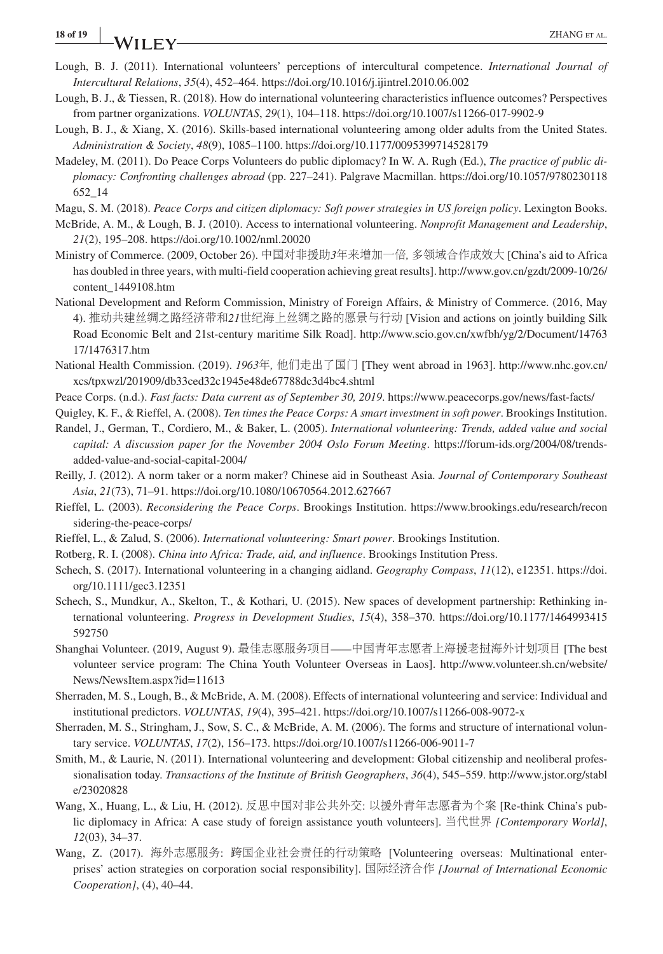- Lough, B. J. (2011). International volunteers' perceptions of intercultural competence. *International Journal of Intercultural Relations*, *35*(4), 452–464.<https://doi.org/10.1016/j.ijintrel.2010.06.002>
- Lough, B. J., & Tiessen, R. (2018). How do international volunteering characteristics influence outcomes? Perspectives from partner organizations. *VOLUNTAS*, *29*(1), 104–118. <https://doi.org/10.1007/s11266-017-9902-9>
- Lough, B. J., & Xiang, X. (2016). Skills-based international volunteering among older adults from the United States. *Administration & Society*, *48*(9), 1085–1100. <https://doi.org/10.1177/0095399714528179>
- Madeley, M. (2011). Do Peace Corps Volunteers do public diplomacy? In W. A. Rugh (Ed.), *The practice of public diplomacy: Confronting challenges abroad* (pp. 227–241). Palgrave Macmillan. [https://doi.org/10.1057/9780230118](https://doi.org/10.1057/9780230118652_14) [652\\_14](https://doi.org/10.1057/9780230118652_14)
- Magu, S. M. (2018). *Peace Corps and citizen diplomacy: Soft power strategies in US foreign policy*. Lexington Books.
- McBride, A. M., & Lough, B. J. (2010). Access to international volunteering. *Nonprofit Management and Leadership*, *21*(2), 195–208.<https://doi.org/10.1002/nml.20020>
- Ministry of Commerce. (2009, October 26). 中国对非援助*3*年来增加一倍*,* 多领域合作成效大 [China's aid to Africa has doubled in three years, with multi-field cooperation achieving great results]. [http://www.gov.cn/gzdt/2009-10/26/](http://www.gov.cn/gzdt/2009-10/26/content_1449108.htm) [content\\_1449108.htm](http://www.gov.cn/gzdt/2009-10/26/content_1449108.htm)
- National Development and Reform Commission, Ministry of Foreign Affairs, & Ministry of Commerce. (2016, May 4). 推动共建丝绸之路经济带和*21*世纪海上丝绸之路的愿景与行动 [Vision and actions on jointly building Silk Road Economic Belt and 21st-century maritime Silk Road]. [http://www.scio.gov.cn/xwfbh/yg/2/Document/14763](http://www.scio.gov.cn/xwfbh/yg/2/Document/1476317/1476317.htm) [17/1476317.htm](http://www.scio.gov.cn/xwfbh/yg/2/Document/1476317/1476317.htm)
- National Health Commission. (2019). *1963*年*,* 他们走出了国门 [They went abroad in 1963]. [http://www.nhc.gov.cn/](http://www.nhc.gov.cn/xcs/tpxwzl/201909/db33ced32c1945e48de67788dc3d4bc4.shtml) [xcs/tpxwzl/201909/db33ced32c1945e48de67788dc3d4bc4.shtml](http://www.nhc.gov.cn/xcs/tpxwzl/201909/db33ced32c1945e48de67788dc3d4bc4.shtml)
- Peace Corps. (n.d.). *Fast facts: Data current as of September 30, 2019*. <https://www.peacecorps.gov/news/fast-facts/>
- Quigley, K. F., & Rieffel, A. (2008). *Ten times the Peace Corps: A smart investment in soft power*. Brookings Institution.
- Randel, J., German, T., Cordiero, M., & Baker, L. (2005). *International volunteering: Trends, added value and social capital: A discussion paper for the November 2004 Oslo Forum Meeting*. [https://forum-ids.org/2004/08/trends](https://forum-ids.org/2004/08/trends-added-value-and-social-capital-2004/)[added-value-and-social-capital-2004/](https://forum-ids.org/2004/08/trends-added-value-and-social-capital-2004/)
- Reilly, J. (2012). A norm taker or a norm maker? Chinese aid in Southeast Asia. *Journal of Contemporary Southeast Asia*, *21*(73), 71–91.<https://doi.org/10.1080/10670564.2012.627667>
- Rieffel, L. (2003). *Reconsidering the Peace Corps*. Brookings Institution. [https://www.brookings.edu/research/recon](https://www.brookings.edu/research/reconsidering-the-peace-corps/) [sidering-the-peace-corps/](https://www.brookings.edu/research/reconsidering-the-peace-corps/)
- Rieffel, L., & Zalud, S. (2006). *International volunteering: Smart power*. Brookings Institution.
- Rotberg, R. I. (2008). *China into Africa: Trade, aid, and influence*. Brookings Institution Press.
- Schech, S. (2017). International volunteering in a changing aidland. *Geography Compass*, *11*(12), e12351. [https://doi.](https://doi.org/10.1111/gec3.12351) [org/10.1111/gec3.12351](https://doi.org/10.1111/gec3.12351)
- Schech, S., Mundkur, A., Skelton, T., & Kothari, U. (2015). New spaces of development partnership: Rethinking international volunteering. *Progress in Development Studies*, *15*(4), 358–370. [https://doi.org/10.1177/1464993415](https://doi.org/10.1177/1464993415592750) [592750](https://doi.org/10.1177/1464993415592750)
- Shanghai Volunteer. (2019, August 9). 最佳志愿服务项目*——*中国青年志愿者上海援老挝海外计划项目 [The best volunteer service program: The China Youth Volunteer Overseas in Laos]. [http://www.volunteer.sh.cn/website/](http://www.volunteer.sh.cn/website/News/NewsItem.aspx?id=11613) [News/NewsItem.aspx?id=11613](http://www.volunteer.sh.cn/website/News/NewsItem.aspx?id=11613)
- Sherraden, M. S., Lough, B., & McBride, A. M. (2008). Effects of international volunteering and service: Individual and institutional predictors. *VOLUNTAS*, *19*(4), 395–421. <https://doi.org/10.1007/s11266-008-9072-x>
- Sherraden, M. S., Stringham, J., Sow, S. C., & McBride, A. M. (2006). The forms and structure of international voluntary service. *VOLUNTAS*, *17*(2), 156–173. <https://doi.org/10.1007/s11266-006-9011-7>
- Smith, M., & Laurie, N. (2011). International volunteering and development: Global citizenship and neoliberal professionalisation today. *Transactions of the Institute of British Geographers*, *36*(4), 545–559. [http://www.jstor.org/stabl](http://www.jstor.org/stable/23020828) [e/23020828](http://www.jstor.org/stable/23020828)
- Wang, X., Huang, L., & Liu, H. (2012). 反思中国对非公共外交: 以援外青年志愿者为个案 [Re-think China's public diplomacy in Africa: A case study of foreign assistance youth volunteers]. 当代世界 *[Contemporary World]*, *12*(03), 34–37.
- Wang, Z. (2017). 海外志愿服务: 跨国企业社会责任的行动策略 [Volunteering overseas: Multinational enterprises' action strategies on corporation social responsibility]. 国际经济合作 *[Journal of International Economic Cooperation]*, (4), 40–44.